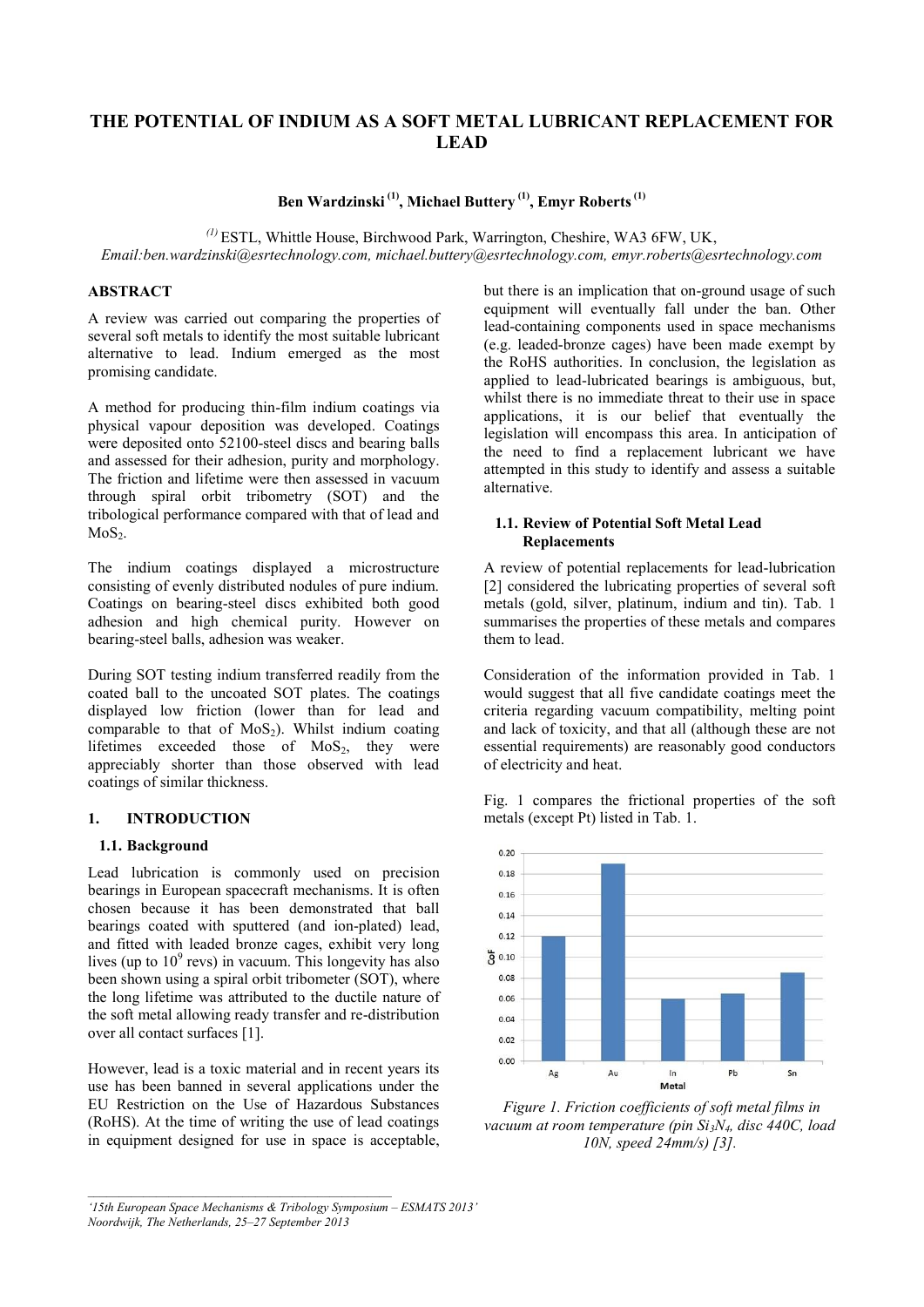# **THE POTENTIAL OF INDIUM AS A SOFT METAL LUBRICANT REPLACEMENT FOR LEAD**

**Ben Wardzinski (1) , Michael Buttery (1), Emyr Roberts(1)**

*(1)* ESTL, Whittle House, Birchwood Park, Warrington, Cheshire, WA3 6FW, UK,

*Email:ben.wardzinski@esrtechnology.com, michael.buttery@esrtechnology.com, emyr.roberts@esrtechnology.com* 

#### **ABSTRACT**

A review was carried out comparing the properties of several soft metals to identify the most suitable lubricant alternative to lead. Indium emerged as the most promising candidate.

A method for producing thin-film indium coatings via physical vapour deposition was developed. Coatings were deposited onto 52100-steel discs and bearing balls and assessed for their adhesion, purity and morphology. The friction and lifetime were then assessed in vacuum through spiral orbit tribometry (SOT) and the tribological performance compared with that of lead and  $MoS<sub>2</sub>$ .

The indium coatings displayed a microstructure consisting of evenly distributed nodules of pure indium. Coatings on bearing-steel discs exhibited both good adhesion and high chemical purity. However on bearing-steel balls, adhesion was weaker.

During SOT testing indium transferred readily from the coated ball to the uncoated SOT plates. The coatings displayed low friction (lower than for lead and comparable to that of  $MoS<sub>2</sub>$ ). Whilst indium coating lifetimes exceeded those of  $MoS<sub>2</sub>$ , they were appreciably shorter than those observed with lead coatings of similar thickness.

### **1. INTRODUCTION**

### **1.1. Background**

Lead lubrication is commonly used on precision bearings in European spacecraft mechanisms. It is often chosen because it has been demonstrated that ball bearings coated with sputtered (and ion-plated) lead, and fitted with leaded bronze cages, exhibit very long lives (up to  $10^9$  revs) in vacuum. This longevity has also been shown using a spiral orbit tribometer (SOT), where the long lifetime was attributed to the ductile nature of the soft metal allowing ready transfer and re-distribution over all contact surfaces [1].

However, lead is a toxic material and in recent years its use has been banned in several applications under the EU Restriction on the Use of Hazardous Substances (RoHS). At the time of writing the use of lead coatings in equipment designed for use in space is acceptable,

 $\mathcal{L}_\mathcal{L} = \{ \mathcal{L}_\mathcal{L} = \{ \mathcal{L}_\mathcal{L} \}$ 

but there is an implication that on-ground usage of such equipment will eventually fall under the ban. Other lead-containing components used in space mechanisms (e.g. leaded-bronze cages) have been made exempt by the RoHS authorities. In conclusion, the legislation as applied to lead-lubricated bearings is ambiguous, but, whilst there is no immediate threat to their use in space applications, it is our belief that eventually the legislation will encompass this area. In anticipation of the need to find a replacement lubricant we have attempted in this study to identify and assess a suitable alternative.

#### **1.1. Review of Potential Soft Metal Lead Replacements**

A review of potential replacements for lead-lubrication [2] considered the lubricating properties of several soft metals (gold, silver, platinum, indium and tin). Tab. 1 summarises the properties of these metals and compares them to lead.

Consideration of the information provided in Tab. 1 would suggest that all five candidate coatings meet the criteria regarding vacuum compatibility, melting point and lack of toxicity, and that all (although these are not essential requirements) are reasonably good conductors of electricity and heat.

Fig. 1 compares the frictional properties of the soft metals (except Pt) listed in Tab. 1.



*Figure 1. Friction coefficients of soft metal films in vacuum at room temperature (pin Si3N4, disc 440C, load 10N, speed 24mm/s) [3].*

*<sup>&#</sup>x27;15th European Space Mechanisms & Tribology Symposium – ESMATS 2013' Noordwijk, The Netherlands, 25–27 September 2013*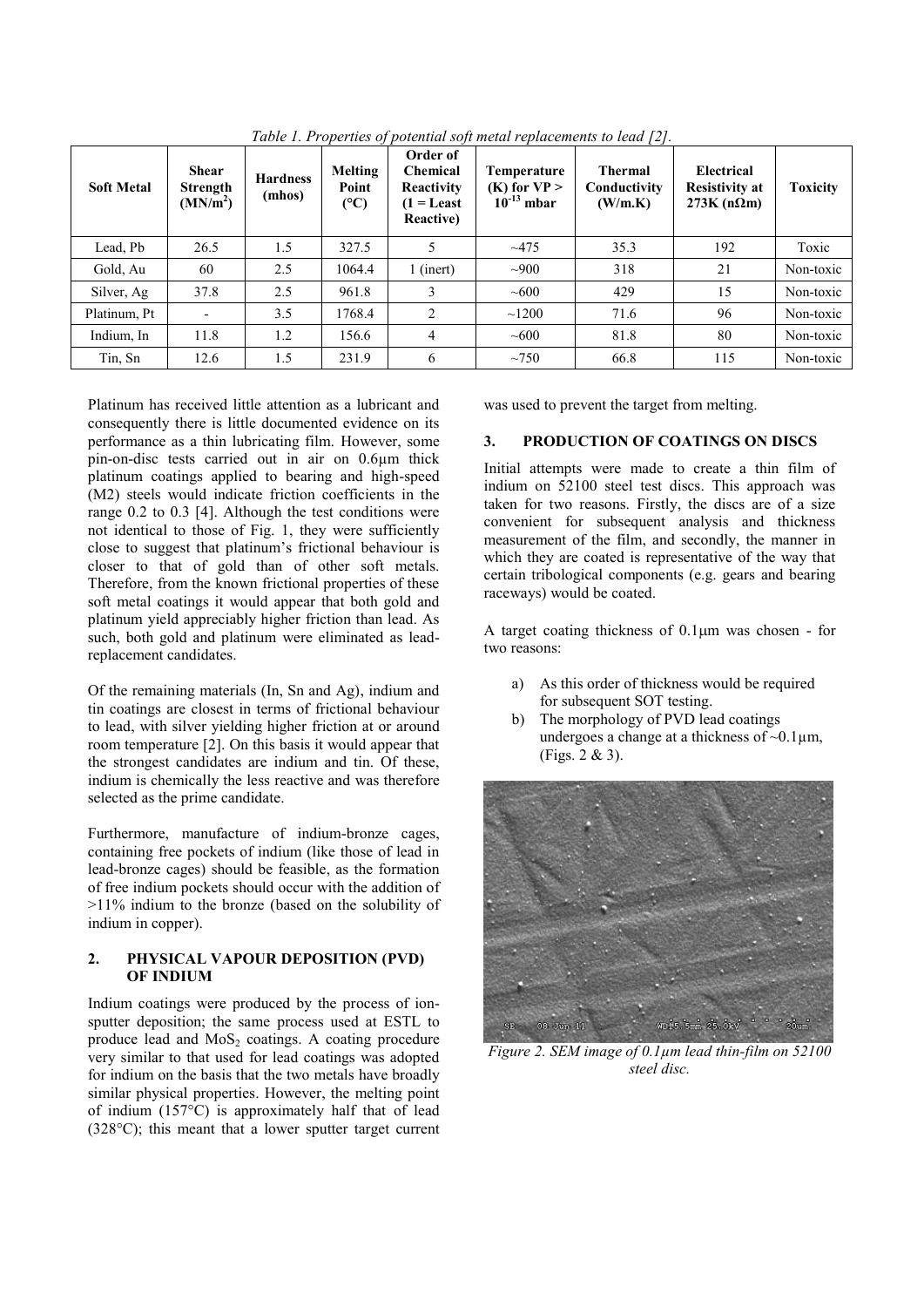| <b>Soft Metal</b> | <b>Shear</b><br><b>Strength</b><br>(MN/m <sup>2</sup> ) | <b>Hardness</b><br>(mhos) | Melting<br>Point<br>(C) | Order of<br><b>Chemical</b><br>Reactivity<br>$(1 =$ Least<br><b>Reactive</b> ) | Temperature<br>$(K)$ for $VP >$<br>$10^{-13}$ mbar | <b>Thermal</b><br>Conductivity<br>(W/m.K) | <b>Electrical</b><br><b>Resistivity at</b><br>$273K(n\Omega m)$ | <b>Toxicity</b> |
|-------------------|---------------------------------------------------------|---------------------------|-------------------------|--------------------------------------------------------------------------------|----------------------------------------------------|-------------------------------------------|-----------------------------------------------------------------|-----------------|
| Lead, Pb          | 26.5                                                    | 1.5                       | 327.5                   |                                                                                | ~1475                                              | 35.3                                      | 192                                                             | Toxic           |
| Gold, Au          | 60                                                      | 2.5                       | 1064.4                  | 1 (inert)                                                                      | $-900$                                             | 318                                       | 21                                                              | Non-toxic       |
| Silver, Ag        | 37.8                                                    | 2.5                       | 961.8                   | 3                                                                              | ~100                                               | 429                                       | 15                                                              | Non-toxic       |
| Platinum, Pt      |                                                         | 3.5                       | 1768.4                  | 2                                                                              | ~1200                                              | 71.6                                      | 96                                                              | Non-toxic       |
| Indium, In        | 11.8                                                    | 1.2                       | 156.6                   | $\overline{4}$                                                                 | ~100                                               | 81.8                                      | 80                                                              | Non-toxic       |
| Tin, Sn           | 12.6                                                    | 1.5                       | 231.9                   | 6                                                                              | $\sim$ 750                                         | 66.8                                      | 115                                                             | Non-toxic       |

*Table 1. Properties of potential soft metal replacements to lead [2].* 

Platinum has received little attention as a lubricant and consequently there is little documented evidence on its performance as a thin lubricating film. However, some pin-on-disc tests carried out in air on 0.6µm thick platinum coatings applied to bearing and high-speed (M2) steels would indicate friction coefficients in the range 0.2 to 0.3 [4]. Although the test conditions were not identical to those of Fig. 1, they were sufficiently close to suggest that platinum's frictional behaviour is closer to that of gold than of other soft metals. Therefore, from the known frictional properties of these soft metal coatings it would appear that both gold and platinum yield appreciably higher friction than lead. As such, both gold and platinum were eliminated as leadreplacement candidates.

Of the remaining materials (In, Sn and Ag), indium and tin coatings are closest in terms of frictional behaviour to lead, with silver yielding higher friction at or around room temperature [2]. On this basis it would appear that the strongest candidates are indium and tin. Of these, indium is chemically the less reactive and was therefore selected as the prime candidate.

Furthermore, manufacture of indium-bronze cages, containing free pockets of indium (like those of lead in lead-bronze cages) should be feasible, as the formation of free indium pockets should occur with the addition of >11% indium to the bronze (based on the solubility of indium in copper).

## **2. PHYSICAL VAPOUR DEPOSITION (PVD) OF INDIUM**

Indium coatings were produced by the process of ionsputter deposition; the same process used at ESTL to produce lead and  $MoS<sub>2</sub>$  coatings. A coating procedure very similar to that used for lead coatings was adopted for indium on the basis that the two metals have broadly similar physical properties. However, the melting point of indium (157°C) is approximately half that of lead (328°C); this meant that a lower sputter target current was used to prevent the target from melting.

## **3. PRODUCTION OF COATINGS ON DISCS**

Initial attempts were made to create a thin film of indium on 52100 steel test discs. This approach was taken for two reasons. Firstly, the discs are of a size convenient for subsequent analysis and thickness measurement of the film, and secondly, the manner in which they are coated is representative of the way that certain tribological components (e.g. gears and bearing raceways) would be coated.

A target coating thickness of  $0.1 \mu m$  was chosen - for two reasons:

- a) As this order of thickness would be required for subsequent SOT testing.
- The morphology of PVD lead coatings undergoes a change at a thickness of ~0.1µm, (Figs. 2 & 3).



*Figure 2. SEM image of 0.1µm lead thin-film on 52100 steel disc.*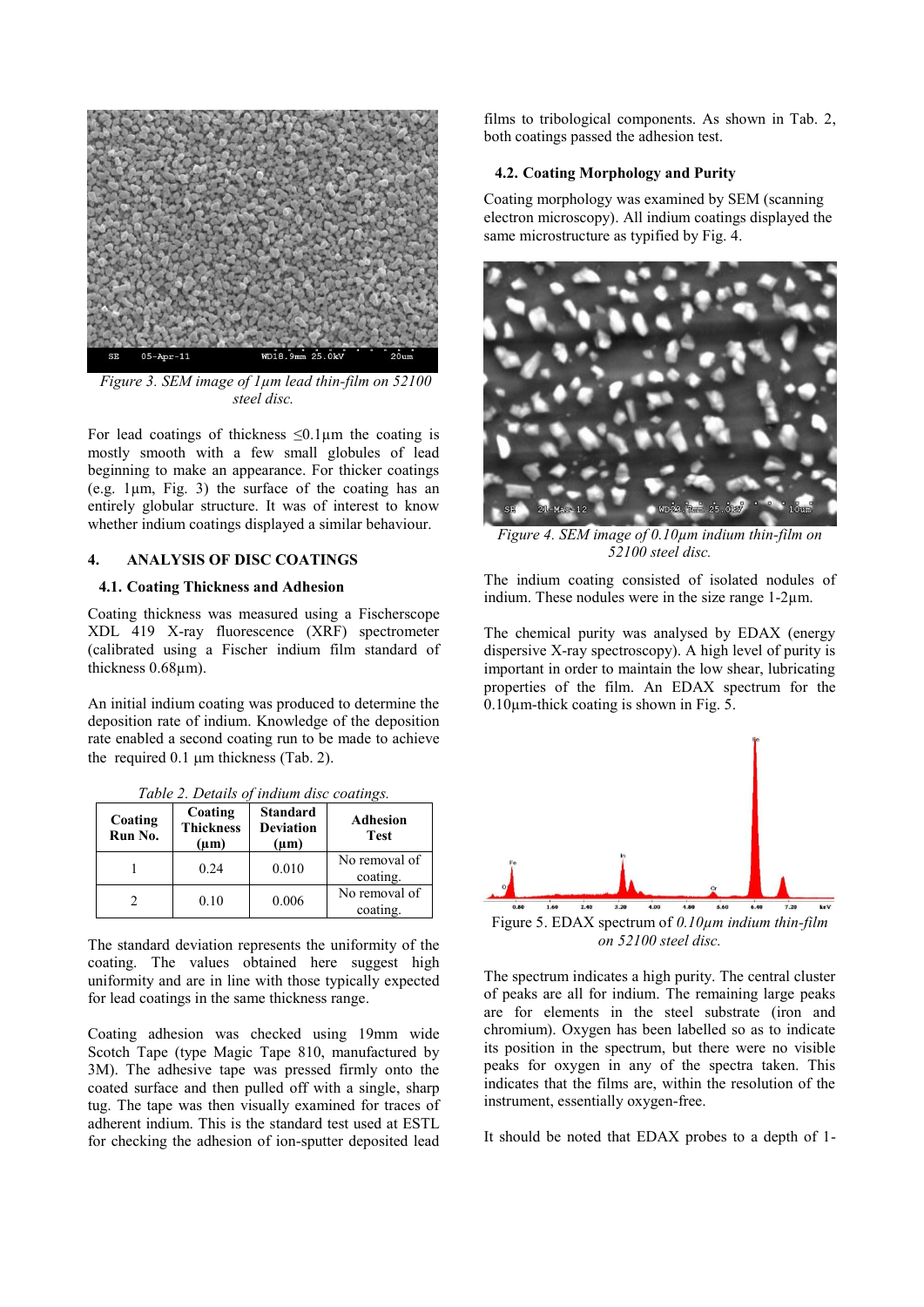

*Figure 3. SEM image of 1µm lead thin-film on 52100 steel disc.* 

For lead coatings of thickness  $\leq 0.1 \mu m$  the coating is mostly smooth with a few small globules of lead beginning to make an appearance. For thicker coatings (e.g. 1µm, Fig. 3) the surface of the coating has an entirely globular structure. It was of interest to know whether indium coatings displayed a similar behaviour.

#### **4. ANALYSIS OF DISC COATINGS**

#### **4.1. Coating Thickness and Adhesion**

Coating thickness was measured using a Fischerscope XDL 419 X-ray fluorescence (XRF) spectrometer (calibrated using a Fischer indium film standard of thickness 0.68µm).

An initial indium coating was produced to determine the deposition rate of indium. Knowledge of the deposition rate enabled a second coating run to be made to achieve the required  $0.1 \mu m$  thickness (Tab. 2).

| Coating<br>Run No. | Coating<br><b>Thickness</b><br>$(\mu m)$ | <b>Standard</b><br><b>Deviation</b><br>$(\mu m)$ | <b>Adhesion</b><br><b>Test</b> |
|--------------------|------------------------------------------|--------------------------------------------------|--------------------------------|
|                    | 0.24                                     | 0.010                                            | No removal of<br>coating.      |
|                    | 0.10                                     | 0.006                                            | No removal of<br>coating.      |

*Table 2. Details of indium disc coatings.* 

The standard deviation represents the uniformity of the coating. The values obtained here suggest high uniformity and are in line with those typically expected for lead coatings in the same thickness range.

Coating adhesion was checked using 19mm wide Scotch Tape (type Magic Tape 810, manufactured by 3M). The adhesive tape was pressed firmly onto the coated surface and then pulled off with a single, sharp tug. The tape was then visually examined for traces of adherent indium. This is the standard test used at ESTL for checking the adhesion of ion-sputter deposited lead

films to tribological components. As shown in Tab. 2, both coatings passed the adhesion test.

## **4.2. Coating Morphology and Purity**

Coating morphology was examined by SEM (scanning electron microscopy). All indium coatings displayed the same microstructure as typified by Fig. 4.



*Figure 4. SEM image of 0.10µm indium thin-film on 52100 steel disc.*

The indium coating consisted of isolated nodules of indium. These nodules were in the size range 1-2µm.

The chemical purity was analysed by EDAX (energy dispersive X-ray spectroscopy). A high level of purity is important in order to maintain the low shear, lubricating properties of the film. An EDAX spectrum for the  $0.10 \mu$ m-thick coating is shown in Fig. 5.



*on 52100 steel disc.* 

The spectrum indicates a high purity. The central cluster of peaks are all for indium. The remaining large peaks are for elements in the steel substrate (iron and chromium). Oxygen has been labelled so as to indicate its position in the spectrum, but there were no visible peaks for oxygen in any of the spectra taken. This indicates that the films are, within the resolution of the instrument, essentially oxygen-free.

It should be noted that EDAX probes to a depth of 1-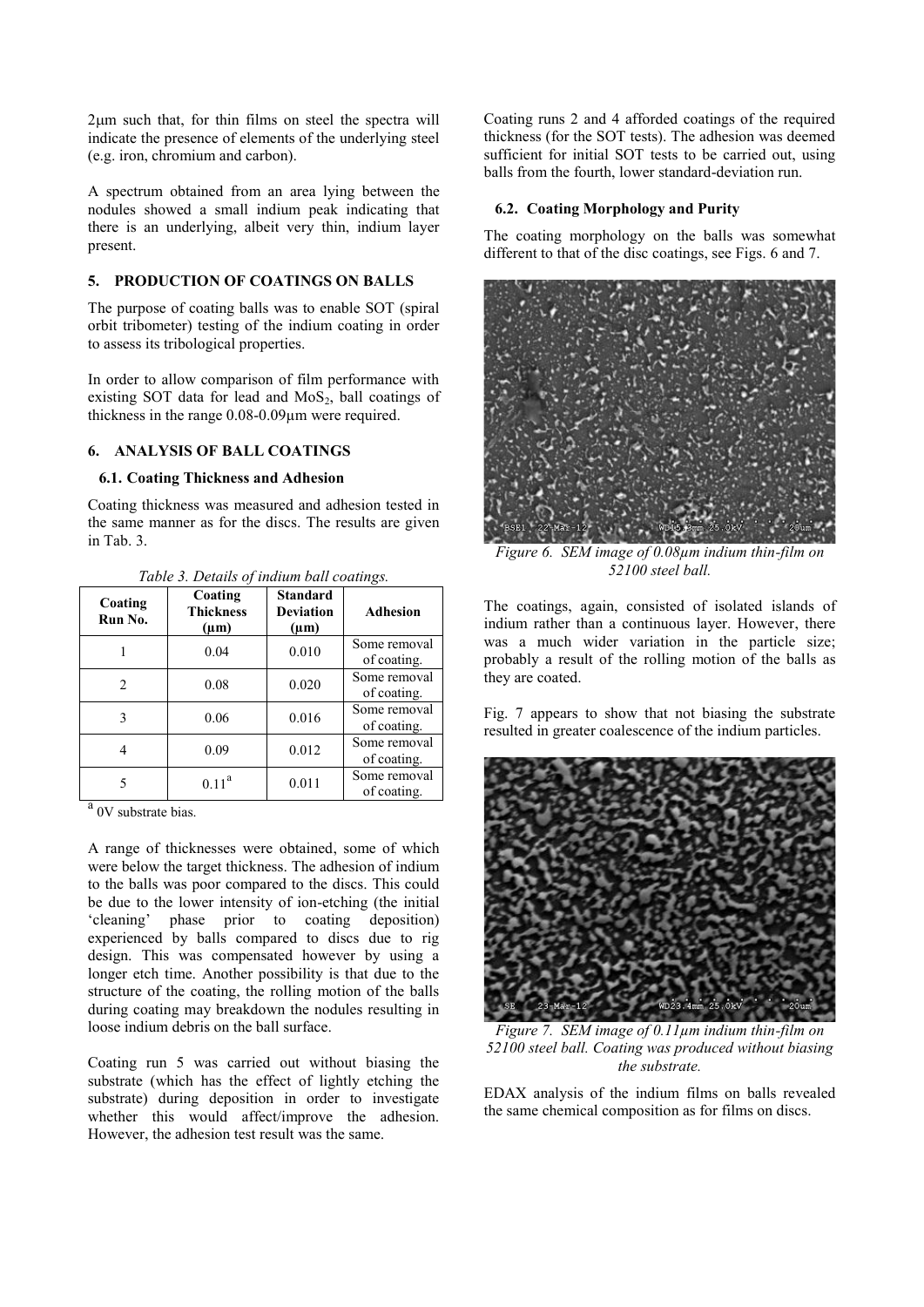$2\mu$ m such that, for thin films on steel the spectra will indicate the presence of elements of the underlying steel (e.g. iron, chromium and carbon).

A spectrum obtained from an area lying between the nodules showed a small indium peak indicating that there is an underlying, albeit very thin, indium layer present.

## **5. PRODUCTION OF COATINGS ON BALLS**

The purpose of coating balls was to enable SOT (spiral orbit tribometer) testing of the indium coating in order to assess its tribological properties.

In order to allow comparison of film performance with existing SOT data for lead and  $MoS<sub>2</sub>$ , ball coatings of thickness in the range 0.08-0.09µm were required.

## **6. ANALYSIS OF BALL COATINGS**

## **6.1. Coating Thickness and Adhesion**

Coating thickness was measured and adhesion tested in the same manner as for the discs. The results are given in Tab. 3.

| Coating<br>Run No. | Coating<br><b>Thickness</b><br>$(\mu m)$ | <b>Standard</b><br><b>Deviation</b><br>$(\mu m)$ | <b>Adhesion</b>             |
|--------------------|------------------------------------------|--------------------------------------------------|-----------------------------|
|                    | 0.04                                     | 0.010                                            | Some removal<br>of coating. |
| $\mathfrak{D}$     | 0.08                                     | 0.020                                            | Some removal<br>of coating. |
| 3                  | 0.06                                     | 0.016                                            | Some removal<br>of coating. |
|                    | 0.09                                     | 0.012                                            | Some removal<br>of coating. |
|                    | $0.11^a$                                 | 0.011                                            | Some removal<br>of coating. |

*Table 3. Details of indium ball coatings.* 

<sup>a</sup> 0V substrate bias.

A range of thicknesses were obtained, some of which were below the target thickness. The adhesion of indium to the balls was poor compared to the discs. This could be due to the lower intensity of ion-etching (the initial 'cleaning' phase prior to coating deposition) experienced by balls compared to discs due to rig design. This was compensated however by using a longer etch time. Another possibility is that due to the structure of the coating, the rolling motion of the balls during coating may breakdown the nodules resulting in loose indium debris on the ball surface.

Coating run 5 was carried out without biasing the substrate (which has the effect of lightly etching the substrate) during deposition in order to investigate whether this would affect/improve the adhesion. However, the adhesion test result was the same.

Coating runs 2 and 4 afforded coatings of the required thickness (for the SOT tests). The adhesion was deemed sufficient for initial SOT tests to be carried out, using balls from the fourth, lower standard-deviation run.

#### **6.2. Coating Morphology and Purity**

The coating morphology on the balls was somewhat different to that of the disc coatings, see Figs. 6 and 7.



*52100 steel ball.* 

The coatings, again, consisted of isolated islands of indium rather than a continuous layer. However, there was a much wider variation in the particle size; probably a result of the rolling motion of the balls as they are coated.

Fig. 7 appears to show that not biasing the substrate resulted in greater coalescence of the indium particles.



*Figure 7. SEM image of 0.11µm indium thin-film on 52100 steel ball. Coating was produced without biasing the substrate.* 

EDAX analysis of the indium films on balls revealed the same chemical composition as for films on discs.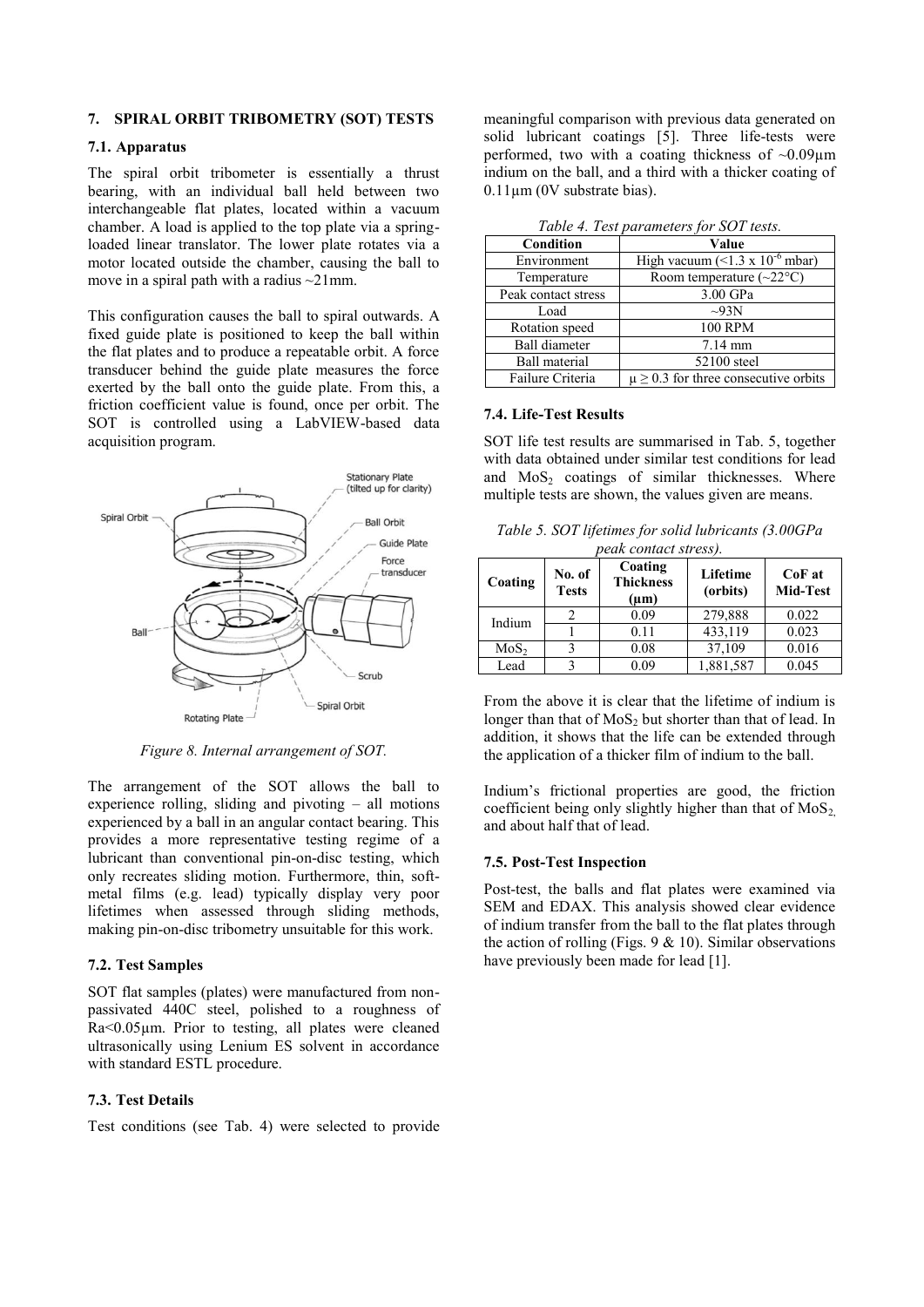#### **7. SPIRAL ORBIT TRIBOMETRY (SOT) TESTS**

## **7.1. Apparatus**

The spiral orbit tribometer is essentially a thrust bearing, with an individual ball held between two interchangeable flat plates, located within a vacuum chamber. A load is applied to the top plate via a springloaded linear translator. The lower plate rotates via a motor located outside the chamber, causing the ball to move in a spiral path with a radius  $\sim$ 21mm.

This configuration causes the ball to spiral outwards. A fixed guide plate is positioned to keep the ball within the flat plates and to produce a repeatable orbit. A force transducer behind the guide plate measures the force exerted by the ball onto the guide plate. From this, a friction coefficient value is found, once per orbit. The SOT is controlled using a LabVIEW-based data acquisition program.



*Figure 8. Internal arrangement of SOT.*

The arrangement of the SOT allows the ball to experience rolling, sliding and pivoting – all motions experienced by a ball in an angular contact bearing. This provides a more representative testing regime of a lubricant than conventional pin-on-disc testing, which only recreates sliding motion. Furthermore, thin, softmetal films (e.g. lead) typically display very poor lifetimes when assessed through sliding methods, making pin-on-disc tribometry unsuitable for this work.

#### **7.2. Test Samples**

SOT flat samples (plates) were manufactured from nonpassivated 440C steel, polished to a roughness of Ra<0.05µm. Prior to testing, all plates were cleaned ultrasonically using Lenium ES solvent in accordance with standard ESTL procedure.

## **7.3. Test Details**

Test conditions (see Tab. 4) were selected to provide

meaningful comparison with previous data generated on solid lubricant coatings [5]. Three life-tests were performed, two with a coating thickness of  $\sim 0.09 \mu m$ indium on the ball, and a third with a thicker coating of 0.11µm (0V substrate bias).

| Table 4. Test parameters for SOT tests. |  |
|-----------------------------------------|--|
|-----------------------------------------|--|

| Tubic 1. I can pur unicicia for BOT teams. |                                             |  |  |  |
|--------------------------------------------|---------------------------------------------|--|--|--|
| Condition                                  | Value                                       |  |  |  |
| Environment                                | High vacuum (<1.3 x 10 <sup>-6</sup> mbar)  |  |  |  |
| Temperature                                | Room temperature $(\sim 22^{\circ}C)$       |  |  |  |
| Peak contact stress                        | 3.00 GPa                                    |  |  |  |
| Load                                       | $\sim$ 93N                                  |  |  |  |
| Rotation speed                             | <b>100 RPM</b>                              |  |  |  |
| <b>Ball diameter</b>                       | $7.14 \text{ mm}$                           |  |  |  |
| <b>Ball material</b>                       | 52100 steel                                 |  |  |  |
| Failure Criteria                           | $\mu \geq 0.3$ for three consecutive orbits |  |  |  |

#### **7.4. Life-Test Results**

SOT life test results are summarised in Tab. 5, together with data obtained under similar test conditions for lead and  $MoS<sub>2</sub>$  coatings of similar thicknesses. Where multiple tests are shown, the values given are means.

| Table 5. SOT lifetimes for solid lubricants (3.00GPa |  |
|------------------------------------------------------|--|
| <i>peak contact stress).</i>                         |  |

| Coating          | No. of<br><b>Tests</b> | Coating<br><b>Thickness</b><br>$(\mu m)$ | Lifetime<br>(orbits) | $CoF$ at<br>Mid-Test |
|------------------|------------------------|------------------------------------------|----------------------|----------------------|
| Indium           |                        | 0.09                                     | 279,888              | 0.022                |
|                  |                        | 0.11                                     | 433,119              | 0.023                |
| MoS <sub>2</sub> |                        | 0.08                                     | 37,109               | 0.016                |
| Lead             |                        | 0.09                                     | 1,881,587            | 0.045                |

From the above it is clear that the lifetime of indium is longer than that of  $MoS<sub>2</sub>$  but shorter than that of lead. In addition, it shows that the life can be extended through the application of a thicker film of indium to the ball.

Indium's frictional properties are good, the friction coefficient being only slightly higher than that of  $MoS<sub>2</sub>$ and about half that of lead.

#### **7.5. Post-Test Inspection**

Post-test, the balls and flat plates were examined via SEM and EDAX. This analysis showed clear evidence of indium transfer from the ball to the flat plates through the action of rolling (Figs.  $9 < 10$ ). Similar observations have previously been made for lead [1].